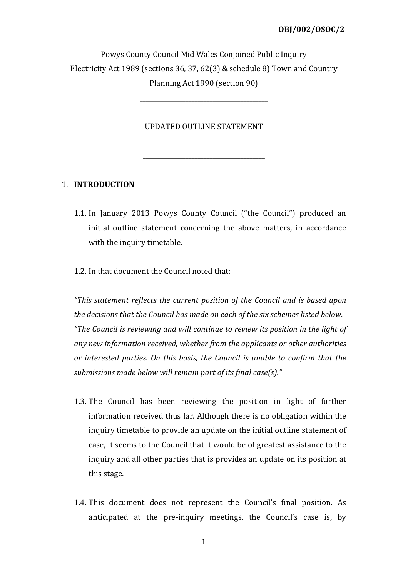Powys County Council Mid Wales Conjoined Public Inquiry Electricity Act 1989 (sections 36, 37, 62(3) & schedule 8) Town and Country Planning Act 1990 (section 90)

### UPDATED OUTLINE STATEMENT

\_\_\_\_\_\_\_\_\_\_\_\_\_\_\_\_\_\_\_\_\_\_\_\_\_\_\_\_\_\_\_\_\_\_\_\_\_\_\_\_

\_\_\_\_\_\_\_\_\_\_\_\_\_\_\_\_\_\_\_\_\_\_\_\_\_\_\_\_\_\_\_\_\_\_\_\_\_\_\_\_\_\_

# 1. INTRODUCTION

- 1.1. In January 2013 Powys County Council ("the Council") produced an initial outline statement concerning the above matters, in accordance with the inquiry timetable.
- 1.2. In that document the Council noted that:

"This statement reflects the current position of the Council and is based upon the decisions that the Council has made on each of the six schemes listed below. "The Council is reviewing and will continue to review its position in the light of any new information received, whether from the applicants or other authorities or interested parties. On this basis, the Council is unable to confirm that the submissions made below will remain part of its final case(s)."

- 1.3. The Council has been reviewing the position in light of further information received thus far. Although there is no obligation within the inquiry timetable to provide an update on the initial outline statement of case, it seems to the Council that it would be of greatest assistance to the inquiry and all other parties that is provides an update on its position at this stage.
- 1.4. This document does not represent the Council's final position. As anticipated at the pre-inquiry meetings, the Council's case is, by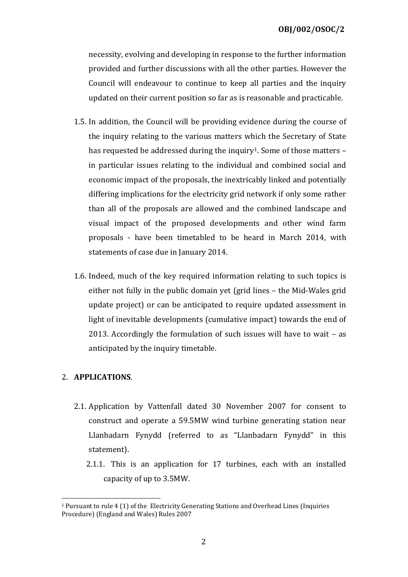necessity, evolving and developing in response to the further information provided and further discussions with all the other parties. However the Council will endeavour to continue to keep all parties and the inquiry updated on their current position so far as is reasonable and practicable.

- 1.5. In addition, the Council will be providing evidence during the course of the inquiry relating to the various matters which the Secretary of State has requested be addressed during the inquiry<sup>1</sup>. Some of those matters  $$ in particular issues relating to the individual and combined social and economic impact of the proposals, the inextricably linked and potentially differing implications for the electricity grid network if only some rather than all of the proposals are allowed and the combined landscape and visual impact of the proposed developments and other wind farm proposals - have been timetabled to be heard in March 2014, with statements of case due in January 2014.
- 1.6. Indeed, much of the key required information relating to such topics is either not fully in the public domain yet (grid lines – the Mid-Wales grid update project) or can be anticipated to require updated assessment in light of inevitable developments (cumulative impact) towards the end of 2013. Accordingly the formulation of such issues will have to wait – as anticipated by the inquiry timetable.

# 2. APPLICATIONS.

 $\overline{a}$ 

- 2.1. Application by Vattenfall dated 30 November 2007 for consent to construct and operate a 59.5MW wind turbine generating station near Llanbadarn Fynydd (referred to as "Llanbadarn Fynydd" in this statement).
	- 2.1.1. This is an application for 17 turbines, each with an installed capacity of up to 3.5MW.

<sup>1</sup> Pursuant to rule 4 (1) of the Electricity Generating Stations and Overhead Lines (Inquiries Procedure) (England and Wales) Rules 2007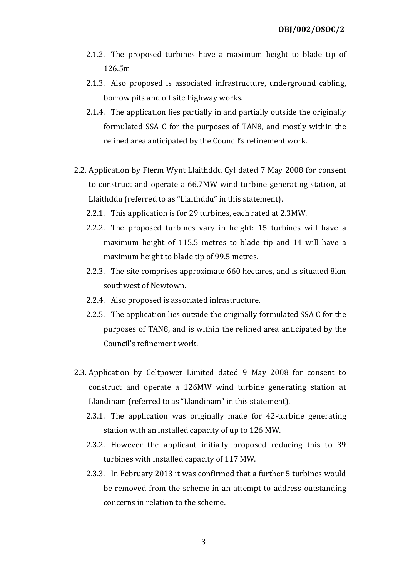- 2.1.2. The proposed turbines have a maximum height to blade tip of 126.5m
- 2.1.3. Also proposed is associated infrastructure, underground cabling, borrow pits and off site highway works.
- 2.1.4. The application lies partially in and partially outside the originally formulated SSA C for the purposes of TAN8, and mostly within the refined area anticipated by the Council's refinement work.
- 2.2. Application by Fferm Wynt Llaithddu Cyf dated 7 May 2008 for consent to construct and operate a 66.7MW wind turbine generating station, at Llaithddu (referred to as "Llaithddu" in this statement).
	- 2.2.1. This application is for 29 turbines, each rated at 2.3MW.
	- 2.2.2. The proposed turbines vary in height: 15 turbines will have a maximum height of 115.5 metres to blade tip and 14 will have a maximum height to blade tip of 99.5 metres.
	- 2.2.3. The site comprises approximate 660 hectares, and is situated 8km southwest of Newtown.
	- 2.2.4. Also proposed is associated infrastructure.
	- 2.2.5. The application lies outside the originally formulated SSA C for the purposes of TAN8, and is within the refined area anticipated by the Council's refinement work.
- 2.3. Application by Celtpower Limited dated 9 May 2008 for consent to construct and operate a 126MW wind turbine generating station at Llandinam (referred to as "Llandinam" in this statement).
	- 2.3.1. The application was originally made for 42-turbine generating station with an installed capacity of up to 126 MW.
	- 2.3.2. However the applicant initially proposed reducing this to 39 turbines with installed capacity of 117 MW.
	- 2.3.3. In February 2013 it was confirmed that a further 5 turbines would be removed from the scheme in an attempt to address outstanding concerns in relation to the scheme.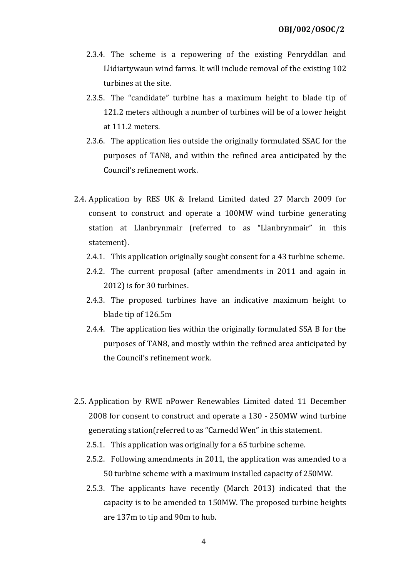- 2.3.4. The scheme is a repowering of the existing Penryddlan and Llidiartywaun wind farms. It will include removal of the existing 102 turbines at the site.
- 2.3.5. The "candidate" turbine has a maximum height to blade tip of 121.2 meters although a number of turbines will be of a lower height at 111.2 meters.
- 2.3.6. The application lies outside the originally formulated SSAC for the purposes of TAN8, and within the refined area anticipated by the Council's refinement work.
- 2.4. Application by RES UK & Ireland Limited dated 27 March 2009 for consent to construct and operate a 100MW wind turbine generating station at Llanbrynmair (referred to as "Llanbrynmair" in this statement).
	- 2.4.1. This application originally sought consent for a 43 turbine scheme.
	- 2.4.2. The current proposal (after amendments in 2011 and again in 2012) is for 30 turbines.
	- 2.4.3. The proposed turbines have an indicative maximum height to blade tip of 126.5m
	- 2.4.4. The application lies within the originally formulated SSA B for the purposes of TAN8, and mostly within the refined area anticipated by the Council's refinement work.
- 2.5. Application by RWE nPower Renewables Limited dated 11 December 2008 for consent to construct and operate a 130 - 250MW wind turbine generating station(referred to as "Carnedd Wen" in this statement.
	- 2.5.1. This application was originally for a 65 turbine scheme.
	- 2.5.2. Following amendments in 2011, the application was amended to a 50 turbine scheme with a maximum installed capacity of 250MW.
	- 2.5.3. The applicants have recently (March 2013) indicated that the capacity is to be amended to 150MW. The proposed turbine heights are 137m to tip and 90m to hub.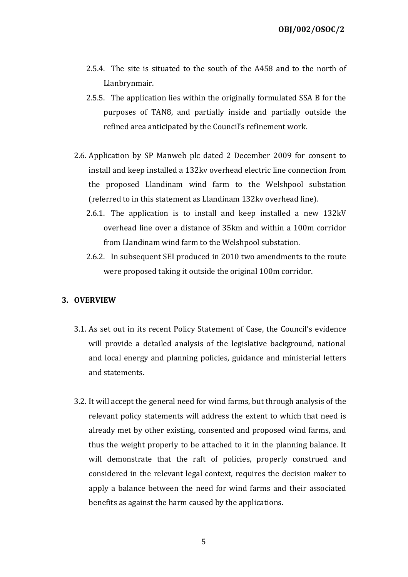- 2.5.4. The site is situated to the south of the A458 and to the north of Llanbrynmair.
- 2.5.5. The application lies within the originally formulated SSA B for the purposes of TAN8, and partially inside and partially outside the refined area anticipated by the Council's refinement work.
- 2.6. Application by SP Manweb plc dated 2 December 2009 for consent to install and keep installed a 132kv overhead electric line connection from the proposed Llandinam wind farm to the Welshpool substation (referred to in this statement as Llandinam 132kv overhead line).
	- 2.6.1. The application is to install and keep installed a new 132kV overhead line over a distance of 35km and within a 100m corridor from Llandinam wind farm to the Welshpool substation.
	- 2.6.2. In subsequent SEI produced in 2010 two amendments to the route were proposed taking it outside the original 100m corridor.

# 3. OVERVIEW

- 3.1. As set out in its recent Policy Statement of Case, the Council's evidence will provide a detailed analysis of the legislative background, national and local energy and planning policies, guidance and ministerial letters and statements.
- 3.2. It will accept the general need for wind farms, but through analysis of the relevant policy statements will address the extent to which that need is already met by other existing, consented and proposed wind farms, and thus the weight properly to be attached to it in the planning balance. It will demonstrate that the raft of policies, properly construed and considered in the relevant legal context, requires the decision maker to apply a balance between the need for wind farms and their associated benefits as against the harm caused by the applications.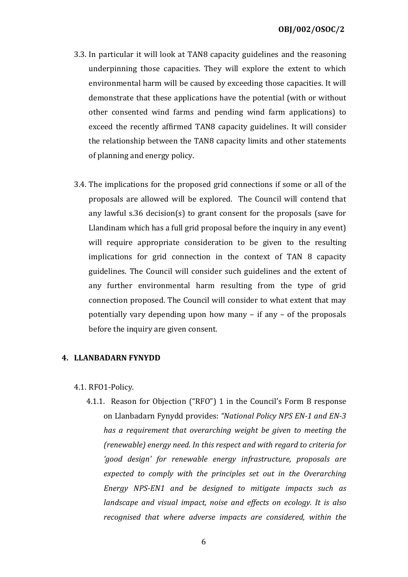- 3.3. In particular it will look at TAN8 capacity guidelines and the reasoning underpinning those capacities. They will explore the extent to which environmental harm will be caused by exceeding those capacities. It will demonstrate that these applications have the potential (with or without other consented wind farms and pending wind farm applications) to exceed the recently affirmed TAN8 capacity guidelines. It will consider the relationship between the TAN8 capacity limits and other statements of planning and energy policy.
- 3.4. The implications for the proposed grid connections if some or all of the proposals are allowed will be explored. The Council will contend that any lawful s.36 decision(s) to grant consent for the proposals (save for Llandinam which has a full grid proposal before the inquiry in any event) will require appropriate consideration to be given to the resulting implications for grid connection in the context of TAN 8 capacity guidelines. The Council will consider such guidelines and the extent of any further environmental harm resulting from the type of grid connection proposed. The Council will consider to what extent that may potentially vary depending upon how many – if any – of the proposals before the inquiry are given consent.

### 4. LLANBADARN FYNYDD

### 4.1. RFO1-Policy.

4.1.1. Reason for Objection ("RFO") 1 in the Council's Form B response on Llanbadarn Fynydd provides: "National Policy NPS EN-1 and EN-3 has a requirement that overarching weight be given to meeting the (renewable) energy need. In this respect and with regard to criteria for 'good design' for renewable energy infrastructure, proposals are expected to comply with the principles set out in the Overarching Energy NPS-EN1 and be designed to mitigate impacts such as landscape and visual impact, noise and effects on ecology. It is also recognised that where adverse impacts are considered, within the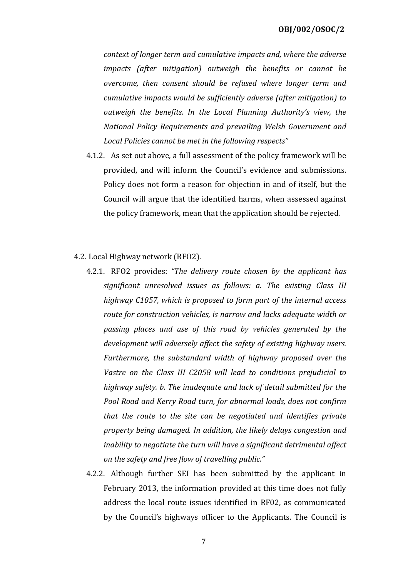context of longer term and cumulative impacts and, where the adverse impacts (after mitigation) outweigh the benefits or cannot be overcome, then consent should be refused where longer term and cumulative impacts would be sufficiently adverse (after mitigation) to outweigh the benefits. In the Local Planning Authority's view, the National Policy Requirements and prevailing Welsh Government and Local Policies cannot be met in the following respects"

- 4.1.2. As set out above, a full assessment of the policy framework will be provided, and will inform the Council's evidence and submissions. Policy does not form a reason for objection in and of itself, but the Council will argue that the identified harms, when assessed against the policy framework, mean that the application should be rejected.
- 4.2. Local Highway network (RFO2).
	- 4.2.1. RFO2 provides: "The delivery route chosen by the applicant has significant unresolved issues as follows: a. The existing Class III highway C1057, which is proposed to form part of the internal access route for construction vehicles, is narrow and lacks adequate width or passing places and use of this road by vehicles generated by the development will adversely affect the safety of existing highway users. Furthermore, the substandard width of highway proposed over the Vastre on the Class III C2058 will lead to conditions prejudicial to highway safety. b. The inadequate and lack of detail submitted for the Pool Road and Kerry Road turn, for abnormal loads, does not confirm that the route to the site can be negotiated and identifies private property being damaged. In addition, the likely delays congestion and inability to negotiate the turn will have a significant detrimental affect on the safety and free flow of travelling public."
	- 4.2.2. Although further SEI has been submitted by the applicant in February 2013, the information provided at this time does not fully address the local route issues identified in RF02, as communicated by the Council's highways officer to the Applicants. The Council is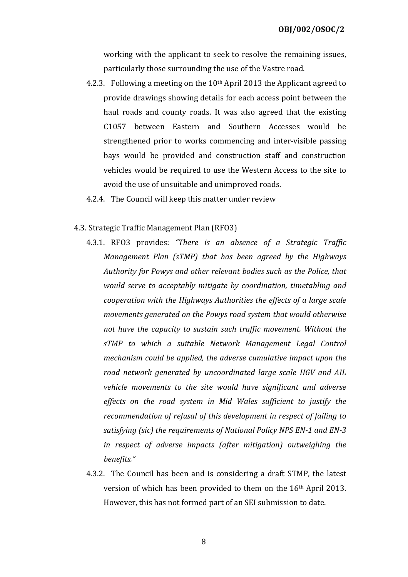working with the applicant to seek to resolve the remaining issues, particularly those surrounding the use of the Vastre road.

- 4.2.3. Following a meeting on the 10th April 2013 the Applicant agreed to provide drawings showing details for each access point between the haul roads and county roads. It was also agreed that the existing C1057 between Eastern and Southern Accesses would be strengthened prior to works commencing and inter-visible passing bays would be provided and construction staff and construction vehicles would be required to use the Western Access to the site to avoid the use of unsuitable and unimproved roads.
- 4.2.4. The Council will keep this matter under review
- 4.3. Strategic Traffic Management Plan (RFO3)
	- 4.3.1. RFO3 provides: "There is an absence of a Strategic Traffic Management Plan (sTMP) that has been agreed by the Highways Authority for Powys and other relevant bodies such as the Police, that would serve to acceptably mitigate by coordination, timetabling and cooperation with the Highways Authorities the effects of a large scale movements generated on the Powys road system that would otherwise not have the capacity to sustain such traffic movement. Without the sTMP to which a suitable Network Management Legal Control mechanism could be applied, the adverse cumulative impact upon the road network generated by uncoordinated large scale HGV and AIL vehicle movements to the site would have significant and adverse effects on the road system in Mid Wales sufficient to justify the recommendation of refusal of this development in respect of failing to satisfying (sic) the requirements of National Policy NPS EN-1 and EN-3 in respect of adverse impacts (after mitigation) outweighing the benefits."
	- 4.3.2. The Council has been and is considering a draft STMP, the latest version of which has been provided to them on the 16th April 2013. However, this has not formed part of an SEI submission to date.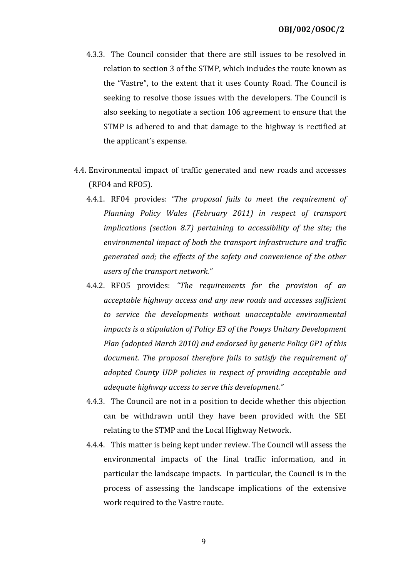- 4.3.3. The Council consider that there are still issues to be resolved in relation to section 3 of the STMP, which includes the route known as the "Vastre", to the extent that it uses County Road. The Council is seeking to resolve those issues with the developers. The Council is also seeking to negotiate a section 106 agreement to ensure that the STMP is adhered to and that damage to the highway is rectified at the applicant's expense.
- 4.4. Environmental impact of traffic generated and new roads and accesses (RFO4 and RFO5).
	- 4.4.1. RF04 provides: "The proposal fails to meet the requirement of Planning Policy Wales (February 2011) in respect of transport implications (section 8.7) pertaining to accessibility of the site; the environmental impact of both the transport infrastructure and traffic generated and; the effects of the safety and convenience of the other users of the transport network."
	- 4.4.2. RFO5 provides: "The requirements for the provision of an acceptable highway access and any new roads and accesses sufficient to service the developments without unacceptable environmental impacts is a stipulation of Policy E3 of the Powys Unitary Development Plan (adopted March 2010) and endorsed by generic Policy GP1 of this document. The proposal therefore fails to satisfy the requirement of adopted County UDP policies in respect of providing acceptable and adequate highway access to serve this development."
	- 4.4.3. The Council are not in a position to decide whether this objection can be withdrawn until they have been provided with the SEI relating to the STMP and the Local Highway Network.
	- 4.4.4. This matter is being kept under review. The Council will assess the environmental impacts of the final traffic information, and in particular the landscape impacts. In particular, the Council is in the process of assessing the landscape implications of the extensive work required to the Vastre route.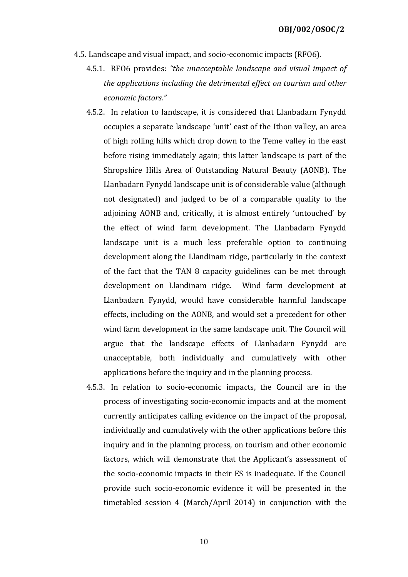- 4.5. Landscape and visual impact, and socio-economic impacts (RFO6).
	- 4.5.1. RFO6 provides: "the unacceptable landscape and visual impact of the applications including the detrimental effect on tourism and other economic factors."
	- 4.5.2. In relation to landscape, it is considered that Llanbadarn Fynydd occupies a separate landscape 'unit' east of the Ithon valley, an area of high rolling hills which drop down to the Teme valley in the east before rising immediately again; this latter landscape is part of the Shropshire Hills Area of Outstanding Natural Beauty (AONB). The Llanbadarn Fynydd landscape unit is of considerable value (although not designated) and judged to be of a comparable quality to the adjoining AONB and, critically, it is almost entirely 'untouched' by the effect of wind farm development. The Llanbadarn Fynydd landscape unit is a much less preferable option to continuing development along the Llandinam ridge, particularly in the context of the fact that the TAN 8 capacity guidelines can be met through development on Llandinam ridge. Wind farm development at Llanbadarn Fynydd, would have considerable harmful landscape effects, including on the AONB, and would set a precedent for other wind farm development in the same landscape unit. The Council will argue that the landscape effects of Llanbadarn Fynydd are unacceptable, both individually and cumulatively with other applications before the inquiry and in the planning process.
	- 4.5.3. In relation to socio-economic impacts, the Council are in the process of investigating socio-economic impacts and at the moment currently anticipates calling evidence on the impact of the proposal, individually and cumulatively with the other applications before this inquiry and in the planning process, on tourism and other economic factors, which will demonstrate that the Applicant's assessment of the socio-economic impacts in their ES is inadequate. If the Council provide such socio-economic evidence it will be presented in the timetabled session 4 (March/April 2014) in conjunction with the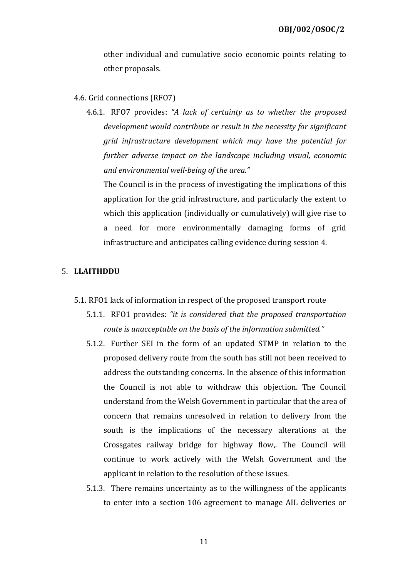other individual and cumulative socio economic points relating to other proposals.

### 4.6. Grid connections (RFO7)

4.6.1. RFO7 provides: "A lack of certainty as to whether the proposed development would contribute or result in the necessity for significant grid infrastructure development which may have the potential for further adverse impact on the landscape including visual, economic and environmental well-being of the area."

The Council is in the process of investigating the implications of this application for the grid infrastructure, and particularly the extent to which this application (individually or cumulatively) will give rise to a need for more environmentally damaging forms of grid infrastructure and anticipates calling evidence during session 4.

### 5. LLAITHDDU

- 5.1. RFO1 lack of information in respect of the proposed transport route
	- 5.1.1. RFO1 provides: "it is considered that the proposed transportation route is unacceptable on the basis of the information submitted."
	- 5.1.2. Further SEI in the form of an updated STMP in relation to the proposed delivery route from the south has still not been received to address the outstanding concerns. In the absence of this information the Council is not able to withdraw this objection. The Council understand from the Welsh Government in particular that the area of concern that remains unresolved in relation to delivery from the south is the implications of the necessary alterations at the Crossgates railway bridge for highway flow,. The Council will continue to work actively with the Welsh Government and the applicant in relation to the resolution of these issues.
	- 5.1.3. There remains uncertainty as to the willingness of the applicants to enter into a section 106 agreement to manage AIL deliveries or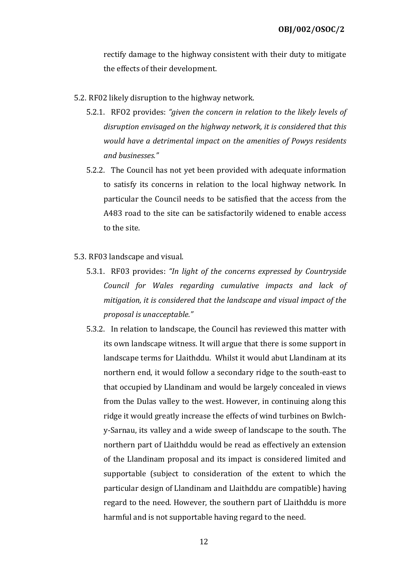rectify damage to the highway consistent with their duty to mitigate the effects of their development.

- 5.2. RF02 likely disruption to the highway network.
	- 5.2.1. RFO2 provides: "given the concern in relation to the likely levels of disruption envisaged on the highway network, it is considered that this would have a detrimental impact on the amenities of Powys residents and businesses."
	- 5.2.2. The Council has not yet been provided with adequate information to satisfy its concerns in relation to the local highway network. In particular the Council needs to be satisfied that the access from the A483 road to the site can be satisfactorily widened to enable access to the site.
- 5.3. RF03 landscape and visual.
	- 5.3.1. RF03 provides: "In light of the concerns expressed by Countryside Council for Wales regarding cumulative impacts and lack of mitigation, it is considered that the landscape and visual impact of the proposal is unacceptable."
	- 5.3.2. In relation to landscape, the Council has reviewed this matter with its own landscape witness. It will argue that there is some support in landscape terms for Llaithddu. Whilst it would abut Llandinam at its northern end, it would follow a secondary ridge to the south-east to that occupied by Llandinam and would be largely concealed in views from the Dulas valley to the west. However, in continuing along this ridge it would greatly increase the effects of wind turbines on Bwlchy-Sarnau, its valley and a wide sweep of landscape to the south. The northern part of Llaithddu would be read as effectively an extension of the Llandinam proposal and its impact is considered limited and supportable (subject to consideration of the extent to which the particular design of Llandinam and Llaithddu are compatible) having regard to the need. However, the southern part of Llaithddu is more harmful and is not supportable having regard to the need.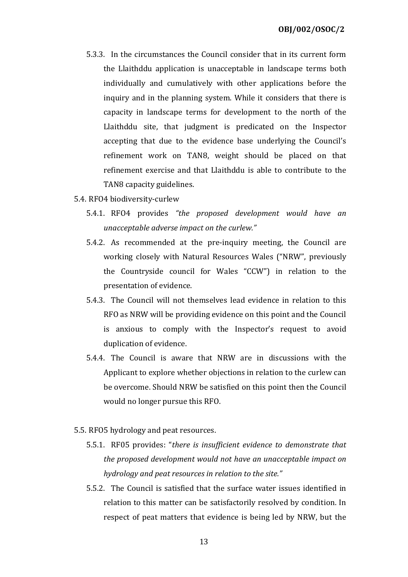- 5.3.3. In the circumstances the Council consider that in its current form the Llaithddu application is unacceptable in landscape terms both individually and cumulatively with other applications before the inquiry and in the planning system. While it considers that there is capacity in landscape terms for development to the north of the Llaithddu site, that judgment is predicated on the Inspector accepting that due to the evidence base underlying the Council's refinement work on TAN8, weight should be placed on that refinement exercise and that Llaithddu is able to contribute to the TAN8 capacity guidelines.
- 5.4. RFO4 biodiversity-curlew
	- 5.4.1. RFO4 provides "the proposed development would have an unacceptable adverse impact on the curlew."
	- 5.4.2. As recommended at the pre-inquiry meeting, the Council are working closely with Natural Resources Wales ("NRW", previously the Countryside council for Wales "CCW") in relation to the presentation of evidence.
	- 5.4.3. The Council will not themselves lead evidence in relation to this RFO as NRW will be providing evidence on this point and the Council is anxious to comply with the Inspector's request to avoid duplication of evidence.
	- 5.4.4. The Council is aware that NRW are in discussions with the Applicant to explore whether objections in relation to the curlew can be overcome. Should NRW be satisfied on this point then the Council would no longer pursue this RFO.
- 5.5. RFO5 hydrology and peat resources.
	- 5.5.1. RF05 provides: "there is insufficient evidence to demonstrate that the proposed development would not have an unacceptable impact on hydrology and peat resources in relation to the site."
	- 5.5.2. The Council is satisfied that the surface water issues identified in relation to this matter can be satisfactorily resolved by condition. In respect of peat matters that evidence is being led by NRW, but the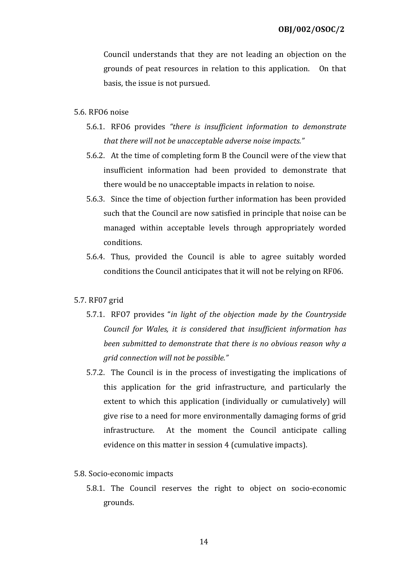Council understands that they are not leading an objection on the grounds of peat resources in relation to this application. On that basis, the issue is not pursued.

#### 5.6. RFO6 noise

- 5.6.1. RFO6 provides "there is insufficient information to demonstrate that there will not be unacceptable adverse noise impacts."
- 5.6.2. At the time of completing form B the Council were of the view that insufficient information had been provided to demonstrate that there would be no unacceptable impacts in relation to noise.
- 5.6.3. Since the time of objection further information has been provided such that the Council are now satisfied in principle that noise can be managed within acceptable levels through appropriately worded conditions.
- 5.6.4. Thus, provided the Council is able to agree suitably worded conditions the Council anticipates that it will not be relying on RF06.

### 5.7. RF07 grid

- 5.7.1. RFO7 provides "in light of the objection made by the Countryside Council for Wales, it is considered that insufficient information has been submitted to demonstrate that there is no obvious reason why a grid connection will not be possible."
- 5.7.2. The Council is in the process of investigating the implications of this application for the grid infrastructure, and particularly the extent to which this application (individually or cumulatively) will give rise to a need for more environmentally damaging forms of grid infrastructure. At the moment the Council anticipate calling evidence on this matter in session 4 (cumulative impacts).
- 5.8. Socio-economic impacts
	- 5.8.1. The Council reserves the right to object on socio-economic grounds.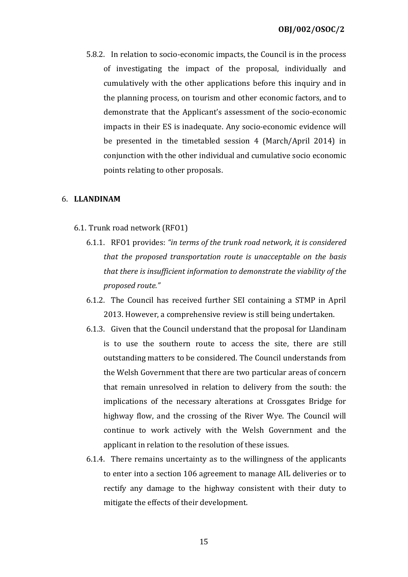5.8.2. In relation to socio-economic impacts, the Council is in the process of investigating the impact of the proposal, individually and cumulatively with the other applications before this inquiry and in the planning process, on tourism and other economic factors, and to demonstrate that the Applicant's assessment of the socio-economic impacts in their ES is inadequate. Any socio-economic evidence will be presented in the timetabled session 4 (March/April 2014) in conjunction with the other individual and cumulative socio economic points relating to other proposals.

### 6. LLANDINAM

- 6.1. Trunk road network (RFO1)
	- 6.1.1. RFO1 provides: "in terms of the trunk road network, it is considered that the proposed transportation route is unacceptable on the basis that there is insufficient information to demonstrate the viability of the proposed route."
	- 6.1.2. The Council has received further SEI containing a STMP in April 2013. However, a comprehensive review is still being undertaken.
	- 6.1.3. Given that the Council understand that the proposal for Llandinam is to use the southern route to access the site, there are still outstanding matters to be considered. The Council understands from the Welsh Government that there are two particular areas of concern that remain unresolved in relation to delivery from the south: the implications of the necessary alterations at Crossgates Bridge for highway flow, and the crossing of the River Wye. The Council will continue to work actively with the Welsh Government and the applicant in relation to the resolution of these issues.
	- 6.1.4. There remains uncertainty as to the willingness of the applicants to enter into a section 106 agreement to manage AIL deliveries or to rectify any damage to the highway consistent with their duty to mitigate the effects of their development.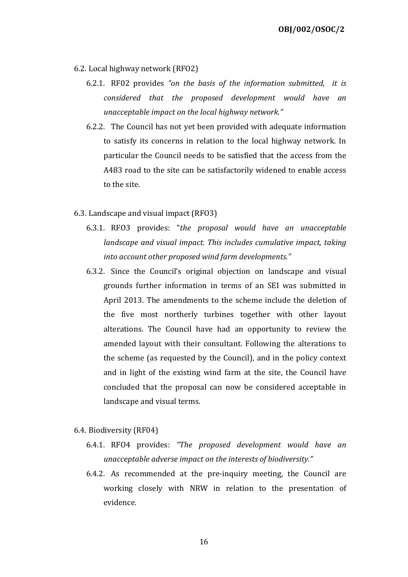- 6.2. Local highway network (RFO2)
	- 6.2.1. RF02 provides "on the basis of the information submitted, it is considered that the proposed development would have an unacceptable impact on the local highway network."
	- 6.2.2. The Council has not yet been provided with adequate information to satisfy its concerns in relation to the local highway network. In particular the Council needs to be satisfied that the access from the A483 road to the site can be satisfactorily widened to enable access to the site.
- 6.3. Landscape and visual impact (RFO3)
	- 6.3.1. RFO3 provides: "the proposal would have an unacceptable landscape and visual impact. This includes cumulative impact, taking into account other proposed wind farm developments."
	- 6.3.2. Since the Council's original objection on landscape and visual grounds further information in terms of an SEI was submitted in April 2013. The amendments to the scheme include the deletion of the five most northerly turbines together with other layout alterations. The Council have had an opportunity to review the amended layout with their consultant. Following the alterations to the scheme (as requested by the Council), and in the policy context and in light of the existing wind farm at the site, the Council have concluded that the proposal can now be considered acceptable in landscape and visual terms.
- 6.4. Biodiversity (RF04)
	- 6.4.1. RFO4 provides: "The proposed development would have an unacceptable adverse impact on the interests of biodiversity."
	- 6.4.2. As recommended at the pre-inquiry meeting, the Council are working closely with NRW in relation to the presentation of evidence.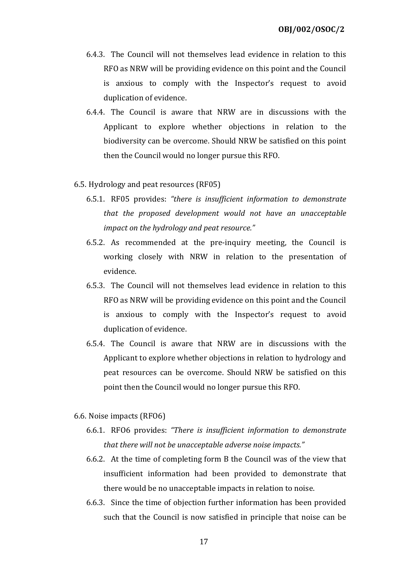- 6.4.3. The Council will not themselves lead evidence in relation to this RFO as NRW will be providing evidence on this point and the Council is anxious to comply with the Inspector's request to avoid duplication of evidence.
- 6.4.4. The Council is aware that NRW are in discussions with the Applicant to explore whether objections in relation to the biodiversity can be overcome. Should NRW be satisfied on this point then the Council would no longer pursue this RFO.
- 6.5. Hydrology and peat resources (RF05)
	- 6.5.1. RF05 provides: "there is insufficient information to demonstrate that the proposed development would not have an unacceptable impact on the hydrology and peat resource."
	- 6.5.2. As recommended at the pre-inquiry meeting, the Council is working closely with NRW in relation to the presentation of evidence.
	- 6.5.3. The Council will not themselves lead evidence in relation to this RFO as NRW will be providing evidence on this point and the Council is anxious to comply with the Inspector's request to avoid duplication of evidence.
	- 6.5.4. The Council is aware that NRW are in discussions with the Applicant to explore whether objections in relation to hydrology and peat resources can be overcome. Should NRW be satisfied on this point then the Council would no longer pursue this RFO.
- 6.6. Noise impacts (RFO6)
	- 6.6.1. RFO6 provides: "There is insufficient information to demonstrate that there will not be unacceptable adverse noise impacts."
	- 6.6.2. At the time of completing form B the Council was of the view that insufficient information had been provided to demonstrate that there would be no unacceptable impacts in relation to noise.
	- 6.6.3. Since the time of objection further information has been provided such that the Council is now satisfied in principle that noise can be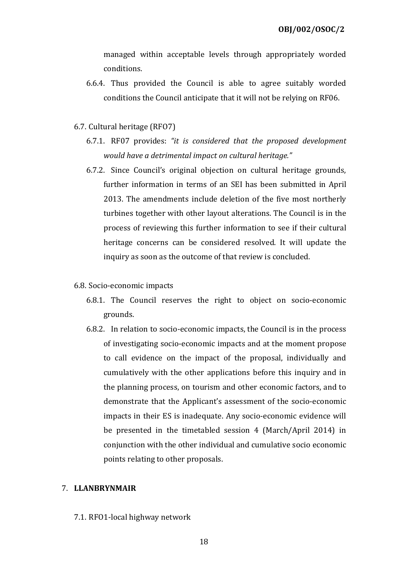managed within acceptable levels through appropriately worded conditions.

- 6.6.4. Thus provided the Council is able to agree suitably worded conditions the Council anticipate that it will not be relying on RF06.
- 6.7. Cultural heritage (RFO7)
	- 6.7.1. RF07 provides: "it is considered that the proposed development would have a detrimental impact on cultural heritage."
	- 6.7.2. Since Council's original objection on cultural heritage grounds, further information in terms of an SEI has been submitted in April 2013. The amendments include deletion of the five most northerly turbines together with other layout alterations. The Council is in the process of reviewing this further information to see if their cultural heritage concerns can be considered resolved. It will update the inquiry as soon as the outcome of that review is concluded.
- 6.8. Socio-economic impacts
	- 6.8.1. The Council reserves the right to object on socio-economic grounds.
	- 6.8.2. In relation to socio-economic impacts, the Council is in the process of investigating socio-economic impacts and at the moment propose to call evidence on the impact of the proposal, individually and cumulatively with the other applications before this inquiry and in the planning process, on tourism and other economic factors, and to demonstrate that the Applicant's assessment of the socio-economic impacts in their ES is inadequate. Any socio-economic evidence will be presented in the timetabled session 4 (March/April 2014) in conjunction with the other individual and cumulative socio economic points relating to other proposals.

### 7. LLANBRYNMAIR

7.1. RFO1-local highway network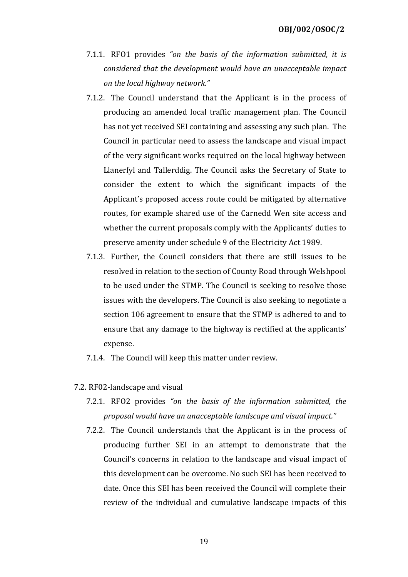- 7.1.1. RFO1 provides "on the basis of the information submitted, it is considered that the development would have an unacceptable impact on the local highway network."
- 7.1.2. The Council understand that the Applicant is in the process of producing an amended local traffic management plan. The Council has not yet received SEI containing and assessing any such plan. The Council in particular need to assess the landscape and visual impact of the very significant works required on the local highway between Llanerfyl and Tallerddig. The Council asks the Secretary of State to consider the extent to which the significant impacts of the Applicant's proposed access route could be mitigated by alternative routes, for example shared use of the Carnedd Wen site access and whether the current proposals comply with the Applicants' duties to preserve amenity under schedule 9 of the Electricity Act 1989.
- 7.1.3. Further, the Council considers that there are still issues to be resolved in relation to the section of County Road through Welshpool to be used under the STMP. The Council is seeking to resolve those issues with the developers. The Council is also seeking to negotiate a section 106 agreement to ensure that the STMP is adhered to and to ensure that any damage to the highway is rectified at the applicants' expense.
- 7.1.4. The Council will keep this matter under review.
- 7.2. RF02-landscape and visual
	- 7.2.1. RFO2 provides "on the basis of the information submitted, the proposal would have an unacceptable landscape and visual impact."
	- 7.2.2. The Council understands that the Applicant is in the process of producing further SEI in an attempt to demonstrate that the Council's concerns in relation to the landscape and visual impact of this development can be overcome. No such SEI has been received to date. Once this SEI has been received the Council will complete their review of the individual and cumulative landscape impacts of this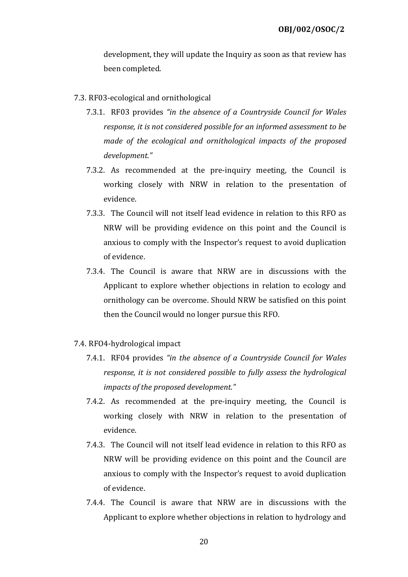development, they will update the Inquiry as soon as that review has been completed.

### 7.3. RF03-ecological and ornithological

- 7.3.1. RF03 provides "in the absence of a Countryside Council for Wales response, it is not considered possible for an informed assessment to be made of the ecological and ornithological impacts of the proposed development."
- 7.3.2. As recommended at the pre-inquiry meeting, the Council is working closely with NRW in relation to the presentation of evidence.
- 7.3.3. The Council will not itself lead evidence in relation to this RFO as NRW will be providing evidence on this point and the Council is anxious to comply with the Inspector's request to avoid duplication of evidence.
- 7.3.4. The Council is aware that NRW are in discussions with the Applicant to explore whether objections in relation to ecology and ornithology can be overcome. Should NRW be satisfied on this point then the Council would no longer pursue this RFO.

### 7.4. RFO4-hydrological impact

- 7.4.1. RF04 provides "in the absence of a Countryside Council for Wales response, it is not considered possible to fully assess the hydrological impacts of the proposed development."
- 7.4.2. As recommended at the pre-inquiry meeting, the Council is working closely with NRW in relation to the presentation of evidence.
- 7.4.3. The Council will not itself lead evidence in relation to this RFO as NRW will be providing evidence on this point and the Council are anxious to comply with the Inspector's request to avoid duplication of evidence.
- 7.4.4. The Council is aware that NRW are in discussions with the Applicant to explore whether objections in relation to hydrology and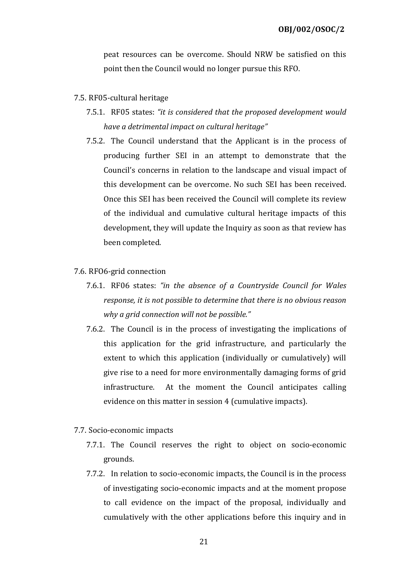peat resources can be overcome. Should NRW be satisfied on this point then the Council would no longer pursue this RFO.

### 7.5. RF05-cultural heritage

- 7.5.1. RF05 states: "it is considered that the proposed development would have a detrimental impact on cultural heritage"
- 7.5.2. The Council understand that the Applicant is in the process of producing further SEI in an attempt to demonstrate that the Council's concerns in relation to the landscape and visual impact of this development can be overcome. No such SEI has been received. Once this SEI has been received the Council will complete its review of the individual and cumulative cultural heritage impacts of this development, they will update the Inquiry as soon as that review has been completed.

### 7.6. RFO6-grid connection

- 7.6.1. RF06 states: "in the absence of a Countryside Council for Wales response, it is not possible to determine that there is no obvious reason why a grid connection will not be possible."
- 7.6.2. The Council is in the process of investigating the implications of this application for the grid infrastructure, and particularly the extent to which this application (individually or cumulatively) will give rise to a need for more environmentally damaging forms of grid infrastructure. At the moment the Council anticipates calling evidence on this matter in session 4 (cumulative impacts).
- 7.7. Socio-economic impacts
	- 7.7.1. The Council reserves the right to object on socio-economic grounds.
	- 7.7.2. In relation to socio-economic impacts, the Council is in the process of investigating socio-economic impacts and at the moment propose to call evidence on the impact of the proposal, individually and cumulatively with the other applications before this inquiry and in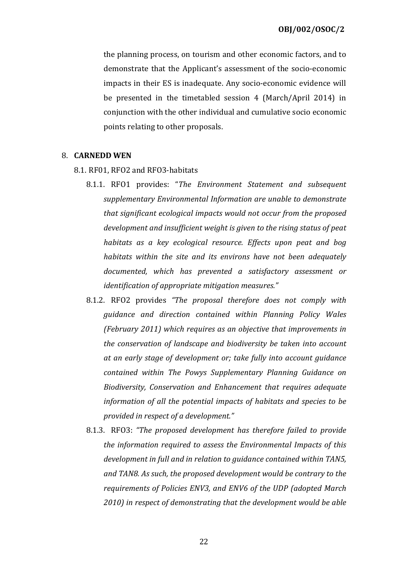the planning process, on tourism and other economic factors, and to demonstrate that the Applicant's assessment of the socio-economic impacts in their ES is inadequate. Any socio-economic evidence will be presented in the timetabled session 4 (March/April 2014) in conjunction with the other individual and cumulative socio economic points relating to other proposals.

### 8. CARNEDD WEN

- 8.1. RF01, RFO2 and RFO3-habitats
	- 8.1.1. RFO1 provides: "The Environment Statement and subsequent supplementary Environmental Information are unable to demonstrate that significant ecological impacts would not occur from the proposed development and insufficient weight is given to the rising status of peat habitats as a key ecological resource. Effects upon peat and bog habitats within the site and its environs have not been adequately documented, which has prevented a satisfactory assessment or identification of appropriate mitigation measures."
	- 8.1.2. RFO2 provides "The proposal therefore does not comply with guidance and direction contained within Planning Policy Wales (February 2011) which requires as an objective that improvements in the conservation of landscape and biodiversity be taken into account at an early stage of development or; take fully into account guidance contained within The Powys Supplementary Planning Guidance on Biodiversity, Conservation and Enhancement that requires adequate information of all the potential impacts of habitats and species to be provided in respect of a development."
	- 8.1.3. RFO3: "The proposed development has therefore failed to provide the information required to assess the Environmental Impacts of this development in full and in relation to guidance contained within TAN5, and TAN8. As such, the proposed development would be contrary to the requirements of Policies ENV3, and ENV6 of the UDP (adopted March 2010) in respect of demonstrating that the development would be able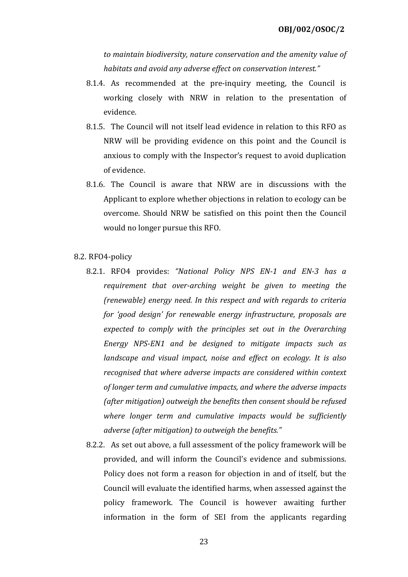to maintain biodiversity, nature conservation and the amenity value of habitats and avoid any adverse effect on conservation interest."

- 8.1.4. As recommended at the pre-inquiry meeting, the Council is working closely with NRW in relation to the presentation of evidence.
- 8.1.5. The Council will not itself lead evidence in relation to this RFO as NRW will be providing evidence on this point and the Council is anxious to comply with the Inspector's request to avoid duplication of evidence.
- 8.1.6. The Council is aware that NRW are in discussions with the Applicant to explore whether objections in relation to ecology can be overcome. Should NRW be satisfied on this point then the Council would no longer pursue this RFO.

#### 8.2. RFO4-policy

- 8.2.1. RFO4 provides: "National Policy NPS EN-1 and EN-3 has a requirement that over-arching weight be given to meeting the (renewable) energy need. In this respect and with regards to criteria for 'good design' for renewable energy infrastructure, proposals are expected to comply with the principles set out in the Overarching Energy NPS-EN1 and be designed to mitigate impacts such as landscape and visual impact, noise and effect on ecology. It is also recognised that where adverse impacts are considered within context of longer term and cumulative impacts, and where the adverse impacts (after mitigation) outweigh the benefits then consent should be refused where longer term and cumulative impacts would be sufficiently adverse (after mitigation) to outweigh the benefits."
- 8.2.2. As set out above, a full assessment of the policy framework will be provided, and will inform the Council's evidence and submissions. Policy does not form a reason for objection in and of itself, but the Council will evaluate the identified harms, when assessed against the policy framework. The Council is however awaiting further information in the form of SEI from the applicants regarding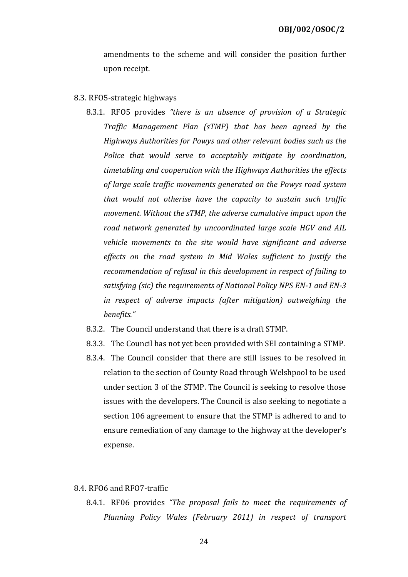amendments to the scheme and will consider the position further upon receipt.

#### 8.3. RFO5-strategic highways

- 8.3.1. RFO5 provides "there is an absence of provision of a Strategic Traffic Management Plan (sTMP) that has been agreed by the Highways Authorities for Powys and other relevant bodies such as the Police that would serve to acceptably mitigate by coordination, timetabling and cooperation with the Highways Authorities the effects of large scale traffic movements generated on the Powys road system that would not otherise have the capacity to sustain such traffic movement. Without the sTMP, the adverse cumulative impact upon the road network generated by uncoordinated large scale HGV and AIL vehicle movements to the site would have significant and adverse effects on the road system in Mid Wales sufficient to justify the recommendation of refusal in this development in respect of failing to satisfying (sic) the requirements of National Policy NPS EN-1 and EN-3 in respect of adverse impacts (after mitigation) outweighing the benefits."
- 8.3.2. The Council understand that there is a draft STMP.
- 8.3.3. The Council has not yet been provided with SEI containing a STMP.
- 8.3.4. The Council consider that there are still issues to be resolved in relation to the section of County Road through Welshpool to be used under section 3 of the STMP. The Council is seeking to resolve those issues with the developers. The Council is also seeking to negotiate a section 106 agreement to ensure that the STMP is adhered to and to ensure remediation of any damage to the highway at the developer's expense.

#### 8.4. RFO6 and RFO7-traffic

8.4.1. RF06 provides "The proposal fails to meet the requirements of Planning Policy Wales (February 2011) in respect of transport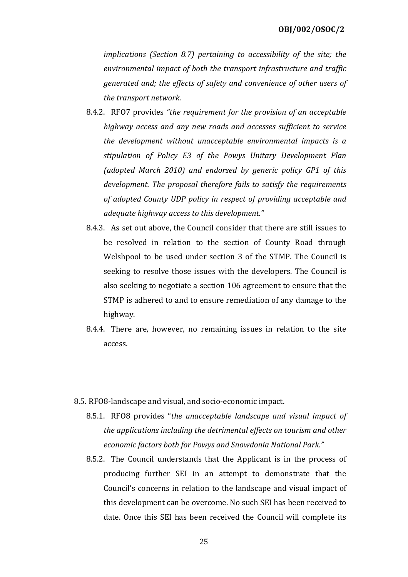implications (Section 8.7) pertaining to accessibility of the site; the environmental impact of both the transport infrastructure and traffic generated and; the effects of safety and convenience of other users of the transport network.

- 8.4.2. RFO7 provides "the requirement for the provision of an acceptable highway access and any new roads and accesses sufficient to service the development without unacceptable environmental impacts is a stipulation of Policy E3 of the Powys Unitary Development Plan (adopted March 2010) and endorsed by generic policy GP1 of this development. The proposal therefore fails to satisfy the requirements of adopted County UDP policy in respect of providing acceptable and adequate highway access to this development."
- 8.4.3. As set out above, the Council consider that there are still issues to be resolved in relation to the section of County Road through Welshpool to be used under section 3 of the STMP. The Council is seeking to resolve those issues with the developers. The Council is also seeking to negotiate a section 106 agreement to ensure that the STMP is adhered to and to ensure remediation of any damage to the highway.
- 8.4.4. There are, however, no remaining issues in relation to the site access.
- 8.5. RFO8-landscape and visual, and socio-economic impact.
	- 8.5.1. RFO8 provides "the unacceptable landscape and visual impact of the applications including the detrimental effects on tourism and other economic factors both for Powys and Snowdonia National Park."
	- 8.5.2. The Council understands that the Applicant is in the process of producing further SEI in an attempt to demonstrate that the Council's concerns in relation to the landscape and visual impact of this development can be overcome. No such SEI has been received to date. Once this SEI has been received the Council will complete its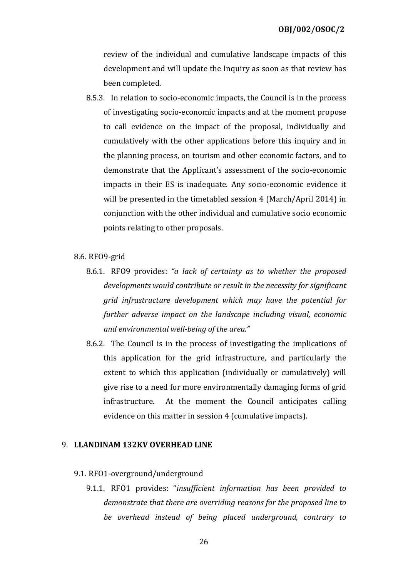review of the individual and cumulative landscape impacts of this development and will update the Inquiry as soon as that review has been completed.

8.5.3. In relation to socio-economic impacts, the Council is in the process of investigating socio-economic impacts and at the moment propose to call evidence on the impact of the proposal, individually and cumulatively with the other applications before this inquiry and in the planning process, on tourism and other economic factors, and to demonstrate that the Applicant's assessment of the socio-economic impacts in their ES is inadequate. Any socio-economic evidence it will be presented in the timetabled session 4 (March/April 2014) in conjunction with the other individual and cumulative socio economic points relating to other proposals.

#### 8.6. RFO9-grid

- 8.6.1. RFO9 provides: "a lack of certainty as to whether the proposed developments would contribute or result in the necessity for significant grid infrastructure development which may have the potential for further adverse impact on the landscape including visual, economic and environmental well-being of the area."
- 8.6.2. The Council is in the process of investigating the implications of this application for the grid infrastructure, and particularly the extent to which this application (individually or cumulatively) will give rise to a need for more environmentally damaging forms of grid infrastructure. At the moment the Council anticipates calling evidence on this matter in session 4 (cumulative impacts).

#### 9. LLANDINAM 132KV OVERHEAD LINE

#### 9.1. RFO1-overground/underground

9.1.1. RFO1 provides: "insufficient information has been provided to demonstrate that there are overriding reasons for the proposed line to be overhead instead of being placed underground, contrary to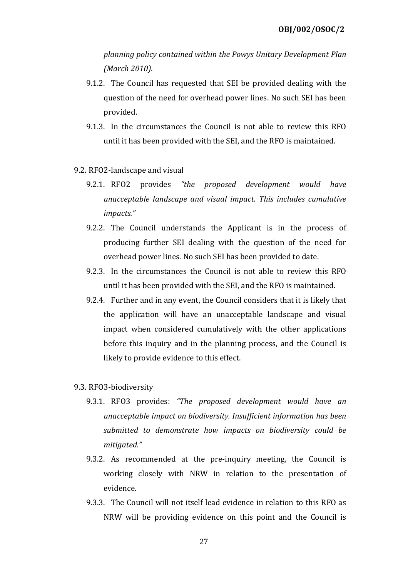planning policy contained within the Powys Unitary Development Plan (March 2010).

- 9.1.2. The Council has requested that SEI be provided dealing with the question of the need for overhead power lines. No such SEI has been provided.
- 9.1.3. In the circumstances the Council is not able to review this RFO until it has been provided with the SEI, and the RFO is maintained.
- 9.2. RFO2-landscape and visual
	- 9.2.1. RFO2 provides "the proposed development would have unacceptable landscape and visual impact. This includes cumulative impacts."
	- 9.2.2. The Council understands the Applicant is in the process of producing further SEI dealing with the question of the need for overhead power lines. No such SEI has been provided to date.
	- 9.2.3. In the circumstances the Council is not able to review this RFO until it has been provided with the SEI, and the RFO is maintained.
	- 9.2.4. Further and in any event, the Council considers that it is likely that the application will have an unacceptable landscape and visual impact when considered cumulatively with the other applications before this inquiry and in the planning process, and the Council is likely to provide evidence to this effect.

#### 9.3. RFO3-biodiversity

- 9.3.1. RFO3 provides: "The proposed development would have an unacceptable impact on biodiversity. Insufficient information has been submitted to demonstrate how impacts on biodiversity could be mitigated."
- 9.3.2. As recommended at the pre-inquiry meeting, the Council is working closely with NRW in relation to the presentation of evidence.
- 9.3.3. The Council will not itself lead evidence in relation to this RFO as NRW will be providing evidence on this point and the Council is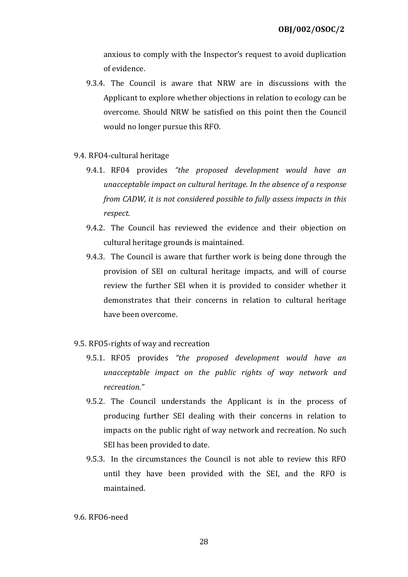anxious to comply with the Inspector's request to avoid duplication of evidence.

- 9.3.4. The Council is aware that NRW are in discussions with the Applicant to explore whether objections in relation to ecology can be overcome. Should NRW be satisfied on this point then the Council would no longer pursue this RFO.
- 9.4. RFO4-cultural heritage
	- 9.4.1. RF04 provides "the proposed development would have an unacceptable impact on cultural heritage. In the absence of a response from CADW, it is not considered possible to fully assess impacts in this respect.
	- 9.4.2. The Council has reviewed the evidence and their objection on cultural heritage grounds is maintained.
	- 9.4.3. The Council is aware that further work is being done through the provision of SEI on cultural heritage impacts, and will of course review the further SEI when it is provided to consider whether it demonstrates that their concerns in relation to cultural heritage have been overcome.
- 9.5. RFO5-rights of way and recreation
	- 9.5.1. RFO5 provides "the proposed development would have an unacceptable impact on the public rights of way network and recreation."
	- 9.5.2. The Council understands the Applicant is in the process of producing further SEI dealing with their concerns in relation to impacts on the public right of way network and recreation. No such SEI has been provided to date.
	- 9.5.3. In the circumstances the Council is not able to review this RFO until they have been provided with the SEI, and the RFO is maintained.

9.6. RFO6-need